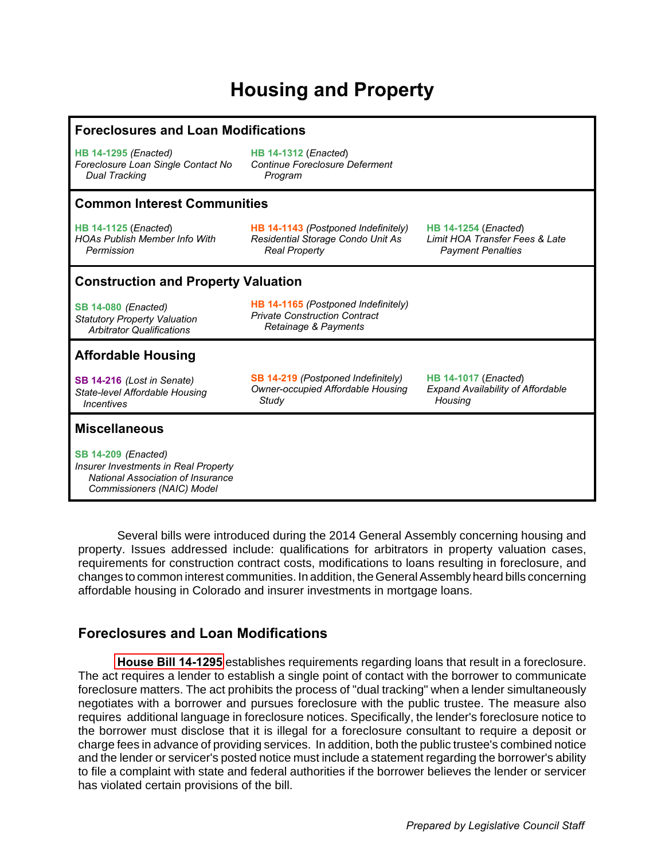# **Housing and Property**

#### **Foreclosures and Loan Modifications**

**HB 14-1295** *(Enacted) Foreclosure Loan Single Contact No Dual Tracking*

**[HB 14-1312](#page-1-0)** (*Enacted*) *Continue Foreclosure Deferment Program*

#### **Common Interest Communities**

**[HB 14-1125](#page-1-0)** (*Enacted*) *HOAs Publish Member Info With Permission*

**[HB 14-1143](#page-1-0)** *(Postponed Indefinitely) Residential Storage Condo Unit As Real Property*

**[HB 14-1254](#page-1-0)** (*Enacted*) *Limit HOA Transfer Fees & Late Payment Penalties*

**[HB 14-1017](#page-1-0)** (*Enacted*)

 *Housing*

*Expand Availability of Affordable* 

#### **Construction and Property Valuation**

**[SB 14-080](#page-1-0)** *(Enacted) Statutory Property Valuation Arbitrator Qualifications*

**[HB 14-1165](#page-1-0)** *(Postponed Indefinitely) Private Construction Contract Retainage & Payments*

**[SB 14-219](#page-2-0)** *(Postponed Indefinitely) Owner-occupied Affordable Housing* 

 *Study*

## **Affordable Housing**

**[SB 14-216](#page-2-0)** *(Lost in Senate) State-level Affordable Housing Incentives*

#### **Miscellaneous**

**[SB 14-209](#page-2-0)** *(Enacted) Insurer Investments in Real Property National Association of Insurance Commissioners (NAIC) Model*

Several bills were introduced during the 2014 General Assembly concerning housing and property. Issues addressed include: qualifications for arbitrators in property valuation cases, requirements for construction contract costs, modifications to loans resulting in foreclosure, and changes to common interest communities. In addition, the General Assembly heard bills concerning affordable housing in Colorado and insurer investments in mortgage loans.

## **Foreclosures and Loan Modifications**

**[House Bill 14-1295](http://www.leg.state.co.us/Clics/CLICS2014A/csl.nsf/fsbillcont3/0D6D39592014817C87257C0F0054364F?Open&file=1295_enr.pdf)** establishes requirements regarding loans that result in a foreclosure. The act requires a lender to establish a single point of contact with the borrower to communicate foreclosure matters. The act prohibits the process of "dual tracking" when a lender simultaneously negotiates with a borrower and pursues foreclosure with the public trustee. The measure also requires additional language in foreclosure notices. Specifically, the lender's foreclosure notice to the borrower must disclose that it is illegal for a foreclosure consultant to require a deposit or charge fees in advance of providing services. In addition, both the public trustee's combined notice and the lender or servicer's posted notice must include a statement regarding the borrower's ability to file a complaint with state and federal authorities if the borrower believes the lender or servicer has violated certain provisions of the bill.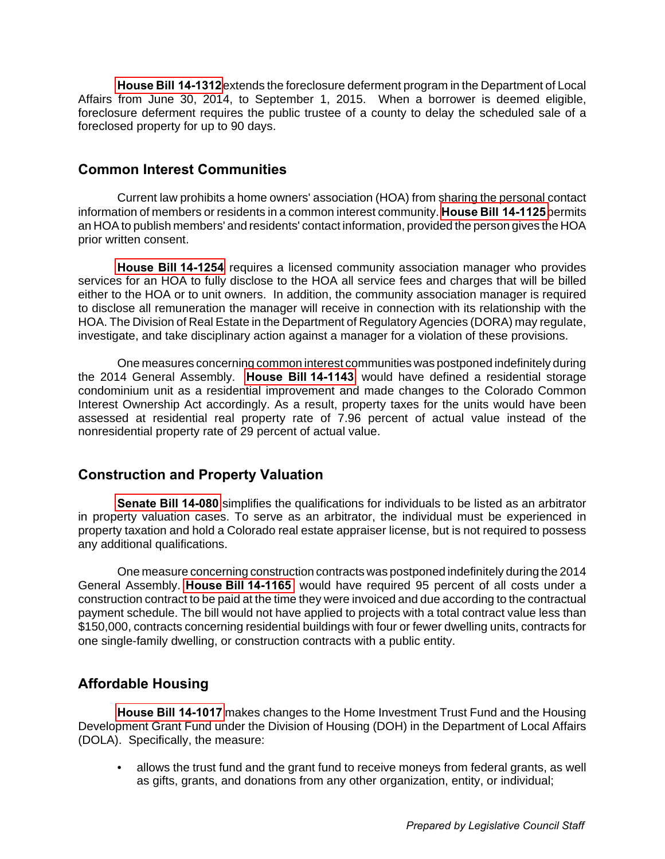<span id="page-1-0"></span>**[House Bill 14-1312](http://www.leg.state.co.us/Clics/CLICS2014A/csl.nsf/fsbillcont3/078AD96D3C1C76FC87257C8A00638763?Open&file=1312_enr.pdf)** extends the foreclosure deferment program in the Department of Local Affairs from June 30, 2014, to September 1, 2015. When a borrower is deemed eligible, foreclosure deferment requires the public trustee of a county to delay the scheduled sale of a foreclosed property for up to 90 days.

## **Common Interest Communities**

Current law prohibits a home owners' association (HOA) from sharing the personal contact information of members or residents in a common interest community. **[House Bill 14-1125](http://www.leg.state.co.us/Clics/CLICS2014A/csl.nsf/fsbillcont3/2481FA1DDD3DBB4E87257C300006EADA?Open&file=1125_enr.pdf)** permits an HOA to publish members' and residents' contact information, provided the person gives the HOA prior written consent.

**[House Bill 14-1254](http://www.leg.state.co.us/Clics/CLICS2014A/csl.nsf/fsbillcont3/96D91D894FE82FA787257C4300636CFB?Open&file=1254_enr.pdf)** requires a licensed community association manager who provides services for an HOA to fully disclose to the HOA all service fees and charges that will be billed either to the HOA or to unit owners. In addition, the community association manager is required to disclose all remuneration the manager will receive in connection with its relationship with the HOA. The Division of Real Estate in the Department of Regulatory Agencies (DORA) may regulate, investigate, and take disciplinary action against a manager for a violation of these provisions.

One measures concerning common interest communities was postponed indefinitely during the 2014 General Assembly. **[House Bill 14-1143](http://www.leg.state.co.us/Clics/CLICS2014A/csl.nsf/fsbillcont3/C54864BC6A828BBB87257C300005C57D?Open&file=1143_01.pdf)** would have defined a residential storage condominium unit as a residential improvement and made changes to the Colorado Common Interest Ownership Act accordingly. As a result, property taxes for the units would have been assessed at residential real property rate of 7.96 percent of actual value instead of the nonresidential property rate of 29 percent of actual value.

## **Construction and Property Valuation**

**[Senate Bill 14-080](http://www.leg.state.co.us/Clics/CLICS2014A/csl.nsf/fsbillcont3/42062AD8A6C9324187257C43006367D4?Open&file=080_enr.pdf)** simplifies the qualifications for individuals to be listed as an arbitrator in property valuation cases. To serve as an arbitrator, the individual must be experienced in property taxation and hold a Colorado real estate appraiser license, but is not required to possess any additional qualifications.

One measure concerning construction contracts was postponed indefinitely during the 2014 General Assembly. **[House Bill 14-1165](http://www.leg.state.co.us/Clics/CLICS2014A/csl.nsf/fsbillcont3/5C231165A7D6DE3F87257C300006EFB7?Open&file=1165_01.pdf)** would have required 95 percent of all costs under a construction contract to be paid at the time they were invoiced and due according to the contractual payment schedule. The bill would not have applied to projects with a total contract value less than \$150,000, contracts concerning residential buildings with four or fewer dwelling units, contracts for one single-family dwelling, or construction contracts with a public entity.

## **Affordable Housing**

**[House Bill 14-1017](http://www.leg.state.co.us/Clics/CLICS2014A/csl.nsf/fsbillcont3/1D65E98385CDD5C487257C3000062475?Open&file=1017_enr.pdf)** makes changes to the Home Investment Trust Fund and the Housing Development Grant Fund under the Division of Housing (DOH) in the Department of Local Affairs (DOLA). Specifically, the measure:

• allows the trust fund and the grant fund to receive moneys from federal grants, as well as gifts, grants, and donations from any other organization, entity, or individual;